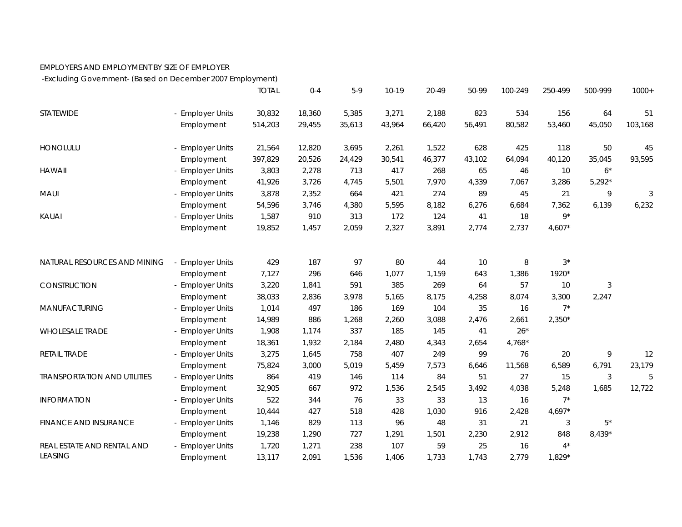## EMPLOYERS AND EMPLOYMENT BY SIZE OF EMPLOYER

-Excluding Government- (Based on December 2007 Employment)

|                                     |                       | <b>TOTAL</b> | $0 - 4$ | $5-9$  | $10 - 19$ | 20-49  | 50-99  | 100-249  | 250-499     | 500-999        | $1000+$ |
|-------------------------------------|-----------------------|--------------|---------|--------|-----------|--------|--------|----------|-------------|----------------|---------|
| STATEWIDE                           | - Employer Units      | 30,832       | 18,360  | 5,385  | 3,271     | 2,188  | 823    | 534      | 156         | 64             | 51      |
|                                     | Employment            | 514,203      | 29,455  | 35,613 | 43,964    | 66,420 | 56,491 | 80,582   | 53,460      | 45,050         | 103,168 |
| HONOLULU                            | - Employer Units      | 21,564       | 12,820  | 3,695  | 2,261     | 1,522  | 628    | 425      | 118         | 50             | 45      |
|                                     | Employment            | 397,829      | 20,526  | 24,429 | 30,541    | 46,377 | 43,102 | 64,094   | 40,120      | 35,045         | 93,595  |
| <b>HAWAII</b>                       | <b>Employer Units</b> | 3,803        | 2,278   | 713    | 417       | 268    | 65     | 46       | 10          | $6*$           |         |
|                                     | Employment            | 41,926       | 3,726   | 4,745  | 5,501     | 7,970  | 4,339  | 7,067    | 3,286       | $5,292*$       |         |
| <b>MAUI</b>                         | - Employer Units      | 3,878        | 2,352   | 664    | 421       | 274    | 89     | 45       | 21          | 9              | 3       |
|                                     | Employment            | 54,596       | 3,746   | 4,380  | 5,595     | 8,182  | 6,276  | 6,684    | 7,362       | 6,139          | 6,232   |
| KAUAI                               | - Employer Units      | 1,587        | 910     | 313    | 172       | 124    | 41     | 18       | $9^{\star}$ |                |         |
|                                     | Employment            | 19,852       | 1,457   | 2,059  | 2,327     | 3,891  | 2,774  | 2,737    | $4,607*$    |                |         |
|                                     |                       |              |         |        |           |        |        |          |             |                |         |
| NATURAL RESOURCES AND MINING        | <b>Employer Units</b> | 429          | 187     | 97     | 80        | 44     | 10     | 8        | $3^*$       |                |         |
|                                     | Employment            | 7,127        | 296     | 646    | 1,077     | 1,159  | 643    | 1,386    | 1920*       |                |         |
| CONSTRUCTION                        | - Employer Units      | 3,220        | 1,841   | 591    | 385       | 269    | 64     | 57       | 10          | $\sqrt{3}$     |         |
|                                     | Employment            | 38,033       | 2,836   | 3,978  | 5,165     | 8,175  | 4,258  | 8,074    | 3,300       | 2,247          |         |
| MANUFACTURING                       | - Employer Units      | 1,014        | 497     | 186    | 169       | 104    | 35     | 16       | $7^*$       |                |         |
|                                     | Employment            | 14,989       | 886     | 1,268  | 2,260     | 3,088  | 2,476  | 2,661    | $2,350*$    |                |         |
| <b>WHOLESALE TRADE</b>              | - Employer Units      | 1,908        | 1,174   | 337    | 185       | 145    | 41     | $26*$    |             |                |         |
|                                     | Employment            | 18,361       | 1,932   | 2,184  | 2,480     | 4,343  | 2,654  | $4,768*$ |             |                |         |
| RETAIL TRADE                        | - Employer Units      | 3,275        | 1,645   | 758    | 407       | 249    | 99     | 76       | 20          | 9              | 12      |
|                                     | Employment            | 75,824       | 3,000   | 5,019  | 5,459     | 7,573  | 6,646  | 11,568   | 6,589       | 6,791          | 23,179  |
| <b>TRANSPORTATION AND UTILITIES</b> | <b>Employer Units</b> | 864          | 419     | 146    | 114       | 84     | 51     | 27       | 15          | $\mathfrak{Z}$ | 5       |
|                                     | Employment            | 32,905       | 667     | 972    | 1,536     | 2,545  | 3,492  | 4,038    | 5,248       | 1,685          | 12,722  |
| <b>INFORMATION</b>                  | - Employer Units      | 522          | 344     | 76     | 33        | 33     | 13     | 16       | $7^*$       |                |         |
|                                     | Employment            | 10,444       | 427     | 518    | 428       | 1,030  | 916    | 2,428    | $4,697*$    |                |         |
| <b>FINANCE AND INSURANCE</b>        | <b>Employer Units</b> | 1,146        | 829     | 113    | 96        | 48     | 31     | 21       | 3           | $5^*$          |         |
|                                     | Employment            | 19,238       | 1,290   | 727    | 1,291     | 1,501  | 2,230  | 2,912    | 848         | 8,439*         |         |
| REAL ESTATE AND RENTAL AND          | - Employer Units      | 1,720        | 1,271   | 238    | 107       | 59     | 25     | 16       | $4^*$       |                |         |
| <b>LEASING</b>                      | Employment            | 13,117       | 2,091   | 1,536  | 1,406     | 1,733  | 1,743  | 2,779    | $1,829*$    |                |         |